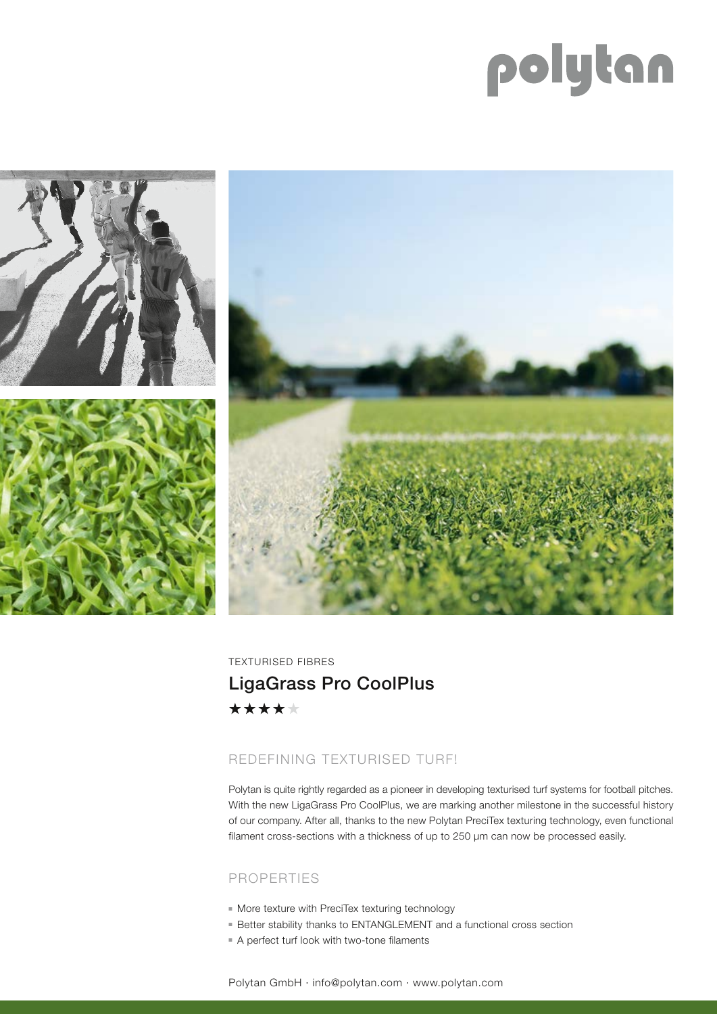# polytan



TEXTURISED FIBRES LigaGrass Pro CoolPlus\*\*\*\*\*

## REDEFINING TEXTURISED TURF!

Polytan is quite rightly regarded as a pioneer in developing texturised turf systems for football pitches. With the new LigaGrass Pro CoolPlus, we are marking another milestone in the successful history of our company. After all, thanks to the new Polytan PreciTex texturing technology, even functional filament cross-sections with a thickness of up to 250 µm can now be processed easily.

### PROPERTIES

- $\blacksquare$  More texture with PreciTex texturing technology
- Better stability thanks to ENTANGLEMENT and a functional cross section
- A perfect turf look with two-tone filaments